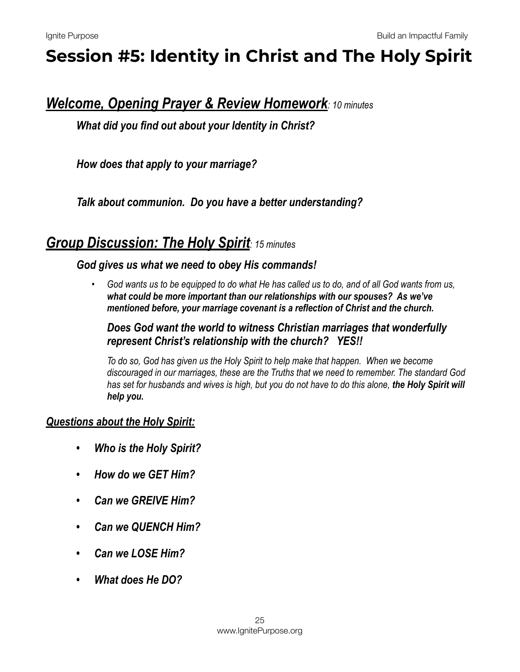# **Session #5: Identity in Christ and The Holy Spirit**

## *Welcome, Opening Prayer & Review Homework: 10 minutes*

*What did you find out about your Identity in Christ?* 

 *How does that apply to your marriage?* 

 *Talk about communion. Do you have a better understanding?* 

## *Group Discussion: The Holy Spirit: 15 minutes*

### *God gives us what we need to obey His commands!*

*• God wants us to be equipped to do what He has called us to do, and of all God wants from us, what could be more important than our relationships with our spouses? As we've mentioned before, your marriage covenant is [a reflection of Christ and the church](https://www.scottlapierre.org/marriage-reflection-relationship-with-christ/).* 

### *Does God want the world to witness Christian marriages that wonderfully represent Christ's relationship with the church? YES!!*

*To do so, God has given us the Holy Spirit to help make that happen. When we become discouraged in our marriages, these are the Truths that we need to remember. The standard God has set for husbands and wives is high, but you do not have to do this alone, the Holy Spirit will help you.*

## *Questions about the Holy Spirit:*

- *• Who is the Holy Spirit?*
- *• How do we GET Him?*
- *• Can we GREIVE Him?*
- *• Can we QUENCH Him?*
- *• Can we LOSE Him?*
- *• What does He DO?*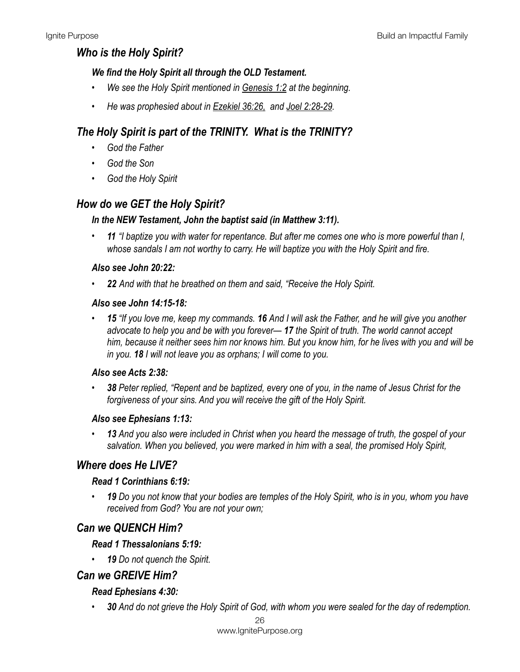## *Who is the Holy Spirit?*

#### *We find the Holy Spirit all through the OLD Testament.*

- *• We see the Holy Spirit mentioned in [Genesis 1:2](https://www.biblegateway.com/passage/?search=Genesis+1:2&version=NIV) at the beginning.*
- *• He was prophesied about in [Ezekiel 36:26,](https://www.biblegateway.com/passage/?search=Ezekiel+36:26&version=NIV) and [Joel 2:28-29](https://www.biblegateway.com/passage/?search=Joel+2:28-29&version=NIV).*

## *The Holy Spirit is part of the TRINITY. What is the TRINITY?*

- *• God the Father*
- *• God the Son*
- *• God the Holy Spirit*

#### *How do we GET the Holy Spirit?*

#### *In the NEW Testament, John the baptist said (in Matthew 3:11).*

*• 11 "I baptize you with water for repentance. But after me comes one who is more powerful than I, whose sandals I am not worthy to carry. He will baptize you with the Holy Spirit and fire.* 

#### *Also see John 20:22:*

*• 22 And with that he breathed on them and said, "Receive the Holy Spirit.* 

#### *Also see John 14:15-18:*

*• 15 "If you love me, keep my commands. 16 And I will ask the Father, and he will give you another advocate to help you and be with you forever— 17 the Spirit of truth. The world cannot accept him, because it neither sees him nor knows him. But you know him, for he lives with you and will be in you. 18 I will not leave you as orphans; I will come to you.* 

#### *Also see Acts 2:38:*

*• 38 Peter replied, "Repent and be baptized, every one of you, in the name of Jesus Christ for the forgiveness of your sins. And you will receive the gift of the Holy Spirit.* 

#### *Also see Ephesians 1:13:*

*• 13 And you also were included in Christ when you heard the message of truth, the gospel of your salvation. When you believed, you were marked in him with a seal, the promised Holy Spirit,* 

#### *Where does He LIVE?*

#### *Read 1 Corinthians 6:19:*

*• 19 Do you not know that your bodies are temples of the Holy Spirit, who is in you, whom you have received from God? You are not your own;* 

#### *Can we QUENCH Him?*

#### *Read 1 Thessalonians 5:19:*

*• 19 Do not quench the Spirit.* 

#### *Can we GREIVE Him?*

#### *Read Ephesians 4:30:*

*• 30 And do not grieve the Holy Spirit of God, with whom you were sealed for the day of redemption.* 

26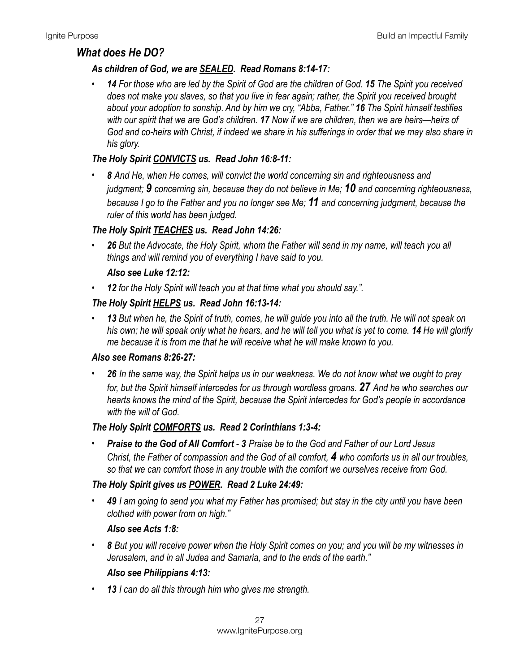## *What does He DO?*

#### *As children of God, we are SEALED. Read Romans 8:14-17:*

*• 14 For those who are led by the Spirit of God are the children of God. 15 The Spirit you received does not make you slaves, so that you live in fear again; rather, the Spirit you received brought about your adoption to sonship. And by him we cry, "Abba, Father." 16 The Spirit himself testifies with our spirit that we are God's children. 17 Now if we are children, then we are heirs—heirs of God and co-heirs with Christ, if indeed we share in his sufferings in order that we may also share in his glory.* 

#### *The Holy Spirit CONVICTS us. Read John 16:8-11:*

*• 8 And He, when He comes, will convict the world concerning sin and righteousness and judgment; 9 concerning sin, because they do not believe in Me; 10 and concerning righteousness, because I go to the Father and you no longer see Me; 11 and concerning judgment, because the ruler of this world has been judged.* 

#### *The Holy Spirit TEACHES us. Read John 14:26:*

*• 26 But the Advocate, the Holy Spirit, whom the Father will send in my name, will teach you all things and will remind you of everything I have said to you.* 

#### *Also see Luke 12:12:*

*• 12 for the Holy Spirit will teach you at that time what you should say.".* 

#### *The Holy Spirit HELPS us. Read John 16:13-14:*

*• 13 But when he, the Spirit of truth, comes, he will guide you into all the truth. He will not speak on his own; he will speak only what he hears, and he will tell you what is yet to come. 14 He will glorify me because it is from me that he will receive what he will make known to you.* 

#### *Also see Romans 8:26-27:*

*• 26 In the same way, the Spirit helps us in our weakness. We do not know what we ought to pray for, but the Spirit himself intercedes for us through wordless groans. 27 And he who searches our hearts knows the mind of the Spirit, because the Spirit intercedes for God's people in accordance with the will of God.* 

#### *The Holy Spirit COMFORTS us. Read 2 Corinthians 1:3-4:*

*• Praise to the God of All Comfort - 3 Praise be to the God and Father of our Lord Jesus Christ, the Father of compassion and the God of all comfort, 4 who comforts us in all our troubles, so that we can comfort those in any trouble with the comfort we ourselves receive from God.* 

#### *The Holy Spirit gives us POWER. Read 2 Luke 24:49:*

*• 49 I am going to send you what my Father has promised; but stay in the city until you have been clothed with power from on high."* 

#### *Also see Acts 1:8:*

*• 8 But you will receive power when the Holy Spirit comes on you; and you will be my witnesses in Jerusalem, and in all Judea and Samaria, and to the ends of the earth."* 

#### *Also see Philippians 4:13:*

*• 13 I can do all this through him who gives me strength.*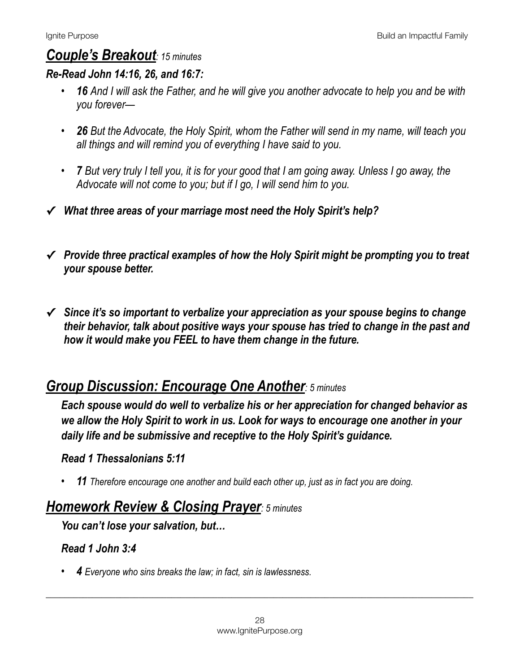## *Couple's Breakout: 15 minutes*

## *Re-Read John 14:16, 26, and 16:7:*

- *• 16 And I will ask the Father, and he will give you another advocate to help you and be with you forever—*
- *• 26 But the Advocate, the Holy Spirit, whom the Father will send in my name, will teach you all things and will remind you of everything I have said to you.*
- *• 7 But very truly I tell you, it is for your good that I am going away. Unless I go away, the Advocate will not come to you; but if I go, I will send him to you.*
- **✓** *What three areas of your marriage most need the Holy Spirit's help?*
- **✓** *Provide three practical examples of how the Holy Spirit might be prompting you to treat your spouse better.*
- **✓** *Since it's so important to verbalize your appreciation as your spouse begins to change their behavior, talk about positive ways your spouse has tried to change in the past and how it would make you FEEL to have them change in the future.*

## *Group Discussion: Encourage One Another: 5 minutes*

*Each spouse would do well to verbalize his or her appreciation for changed behavior as we allow the Holy Spirit to work in us. Look for ways to encourage one another in your daily life and be submissive and receptive to the Holy Spirit's guidance.*

## *Read 1 Thessalonians 5:11*

*• 11 Therefore encourage one another and build each other up, just as in fact you are doing.* 

## *Homework Review & Closing Prayer: 5 minutes*

*You can't lose your salvation, but…* 

## *Read 1 John 3:4*

*• 4 Everyone who sins breaks the law; in fact, sin is lawlessness.* 

\_\_\_\_\_\_\_\_\_\_\_\_\_\_\_\_\_\_\_\_\_\_\_\_\_\_\_\_\_\_\_\_\_\_\_\_\_\_\_\_\_\_\_\_\_\_\_\_\_\_\_\_\_\_\_\_\_\_\_\_\_\_\_\_\_\_\_\_\_\_\_\_\_\_\_\_\_\_\_\_\_\_\_\_\_\_\_\_\_\_\_\_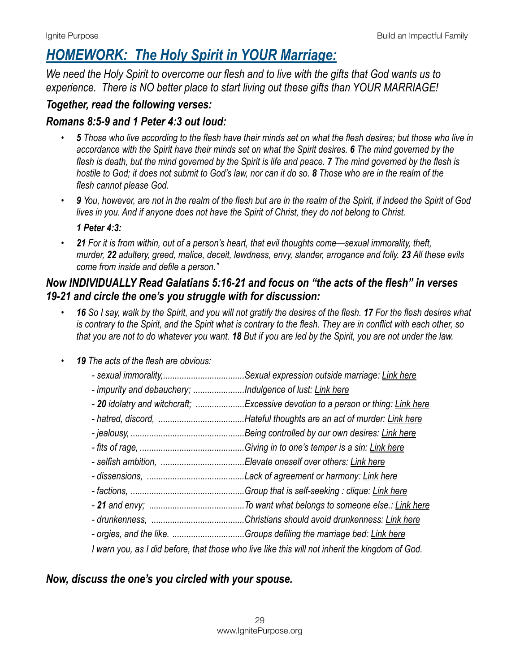## *HOMEWORK: The Holy Spirit in YOUR Marriage:*

*We need the Holy Spirit to overcome our flesh and to live with the gifts that God wants us to experience. There is NO better place to start living out these gifts than YOUR MARRIAGE!* 

### *Together, read the following verses:*

#### *Romans 8:5-9 and 1 Peter 4:3 out loud:*

*• 19 The acts of the flesh are obvious:* 

- *• 5 Those who live according to the flesh have their minds set on what the flesh desires; but those who live in accordance with the Spirit have their minds set on what the Spirit desires. 6 The mind governed by the flesh is death, but the mind governed by the Spirit is life and peace. 7 The mind governed by the flesh is hostile to God; it does not submit to God's law, nor can it do so. 8 Those who are in the realm of the flesh cannot please God.*
- *• 9 You, however, are not in the realm of the flesh but are in the realm of the Spirit, if indeed the Spirit of God lives in you. And if anyone does not have the Spirit of Christ, they do not belong to Christ.*

#### *1 Peter 4:3:*

*• 21 For it is from within, out of a person's heart, that evil thoughts come—sexual immorality, theft, murder, 22 adultery, greed, malice, deceit, lewdness, envy, slander, arrogance and folly. 23 All these evils come from inside and defile a person."* 

### *Now INDIVIDUALLY Read Galatians 5:16-21 and focus on "the acts of the flesh" in verses 19-21 and circle the one's you struggle with for discussion:*

- *• 16 So I say, walk by the Spirit, and you will not gratify the desires of the flesh. 17 For the flesh desires what is contrary to the Spirit, and the Spirit what is contrary to the flesh. They are in conflict with each other, so that you are not to do whatever you want. 18 But if you are led by the Spirit, you are not under the law.* 
	- *sexual immorality, Sexual expression outside marriage: ................................... [Link here](https://www.gotquestions.org/sexual-immorality.html) - impurity and debauchery; Indulgence of lust: ...................... [Link here](https://www.gotquestions.org/debauchery.html) - 20 idolatry and witchcraft; Excessive devotion to a person or thing: ..................... [Link here](https://www.gotquestions.org/idolatry-definition.html) - hatred, discord, Hateful thoughts are an act of murder: ..................................... [Link here](https://www.gotquestions.org/Bible-hate.html) - jealousy, Being controlled by our own desires: ................................................. [Link here](https://www.gotquestions.org/jealousy-Bible.html) - fits of rage, Giving in to one's temper is a sin: ............................................. [Link here](https://www.gotquestions.org/controlling-your-temper.html)  - selfish ambition, Elevate oneself over others: .................................... [Link here](https://www.gotquestions.org/selfish-ambition-vain-conceit.html) - dissensions, Lack of agreement or harmony: .......................................... [Link here](https://www.gotquestions.org/in-one-accord.html)  - factions, Group that is self-seeking : clique: ................................................. [Link here](https://www.bibletools.org/index.cfm/fuseaction/topical.show/RTD/cgg/ID/2028/Factions.htm) - 21 and envy; To want what belongs to someone else.: ......................................... [Link here](https://www.gotquestions.org/Bible-envy.html) - drunkenness, Christians should avoid drunkenness: ........................................ [Link here](https://www.gotquestions.org/sin-alcohol.html)* - orgies, and the like. ................................Groups defiling the marriage bed: [Link here](http://godrules.net/articles/orgy-revelings.htm) *I warn you, as I did before, that those who live like this will not inherit the kingdom of God.*

## *Now, discuss the one's you circled with your spouse.*